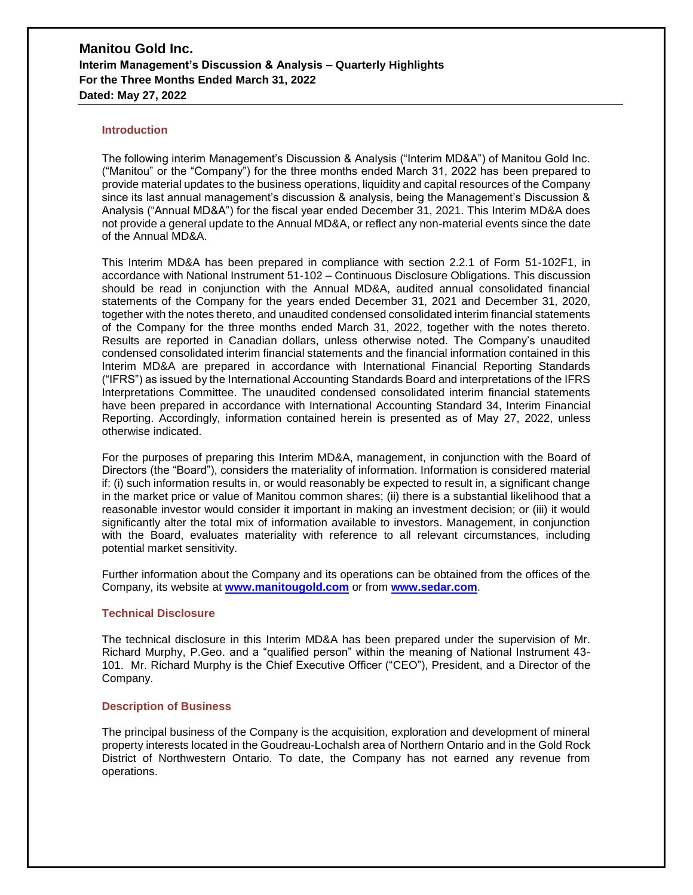#### **Introduction**

The following interim Management's Discussion & Analysis ("Interim MD&A") of Manitou Gold Inc. ("Manitou" or the "Company") for the three months ended March 31, 2022 has been prepared to provide material updates to the business operations, liquidity and capital resources of the Company since its last annual management's discussion & analysis, being the Management's Discussion & Analysis ("Annual MD&A") for the fiscal year ended December 31, 2021. This Interim MD&A does not provide a general update to the Annual MD&A, or reflect any non-material events since the date of the Annual MD&A.

This Interim MD&A has been prepared in compliance with section 2.2.1 of Form 51-102F1, in accordance with National Instrument 51-102 – Continuous Disclosure Obligations. This discussion should be read in conjunction with the Annual MD&A, audited annual consolidated financial statements of the Company for the years ended December 31, 2021 and December 31, 2020, together with the notes thereto, and unaudited condensed consolidated interim financial statements of the Company for the three months ended March 31, 2022, together with the notes thereto. Results are reported in Canadian dollars, unless otherwise noted. The Company's unaudited condensed consolidated interim financial statements and the financial information contained in this Interim MD&A are prepared in accordance with International Financial Reporting Standards ("IFRS") as issued by the International Accounting Standards Board and interpretations of the IFRS Interpretations Committee. The unaudited condensed consolidated interim financial statements have been prepared in accordance with International Accounting Standard 34, Interim Financial Reporting. Accordingly, information contained herein is presented as of May 27, 2022, unless otherwise indicated.

For the purposes of preparing this Interim MD&A, management, in conjunction with the Board of Directors (the "Board"), considers the materiality of information. Information is considered material if: (i) such information results in, or would reasonably be expected to result in, a significant change in the market price or value of Manitou common shares; (ii) there is a substantial likelihood that a reasonable investor would consider it important in making an investment decision; or (iii) it would significantly alter the total mix of information available to investors. Management, in conjunction with the Board, evaluates materiality with reference to all relevant circumstances, including potential market sensitivity.

Further information about the Company and its operations can be obtained from the offices of the Company, its website at **www.manitougold.com** or from **[www.sedar.com](http://www.sedar.com/)**.

### **Technical Disclosure**

The technical disclosure in this Interim MD&A has been prepared under the supervision of Mr. Richard Murphy, P.Geo. and a "qualified person" within the meaning of National Instrument 43- 101. Mr. Richard Murphy is the Chief Executive Officer ("CEO"), President, and a Director of the Company.

#### **Description of Business**

The principal business of the Company is the acquisition, exploration and development of mineral property interests located in the Goudreau-Lochalsh area of Northern Ontario and in the Gold Rock District of Northwestern Ontario. To date, the Company has not earned any revenue from operations.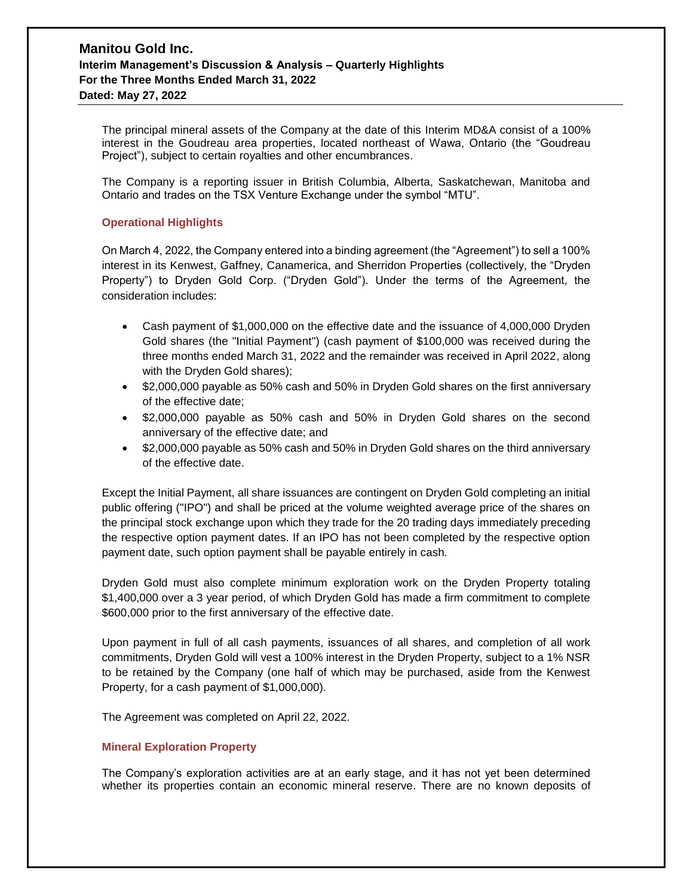The principal mineral assets of the Company at the date of this Interim MD&A consist of a 100% interest in the Goudreau area properties, located northeast of Wawa, Ontario (the "Goudreau Project"), subject to certain royalties and other encumbrances.

The Company is a reporting issuer in British Columbia, Alberta, Saskatchewan, Manitoba and Ontario and trades on the TSX Venture Exchange under the symbol "MTU".

## **Operational Highlights**

On March 4, 2022, the Company entered into a binding agreement (the "Agreement") to sell a 100% interest in its Kenwest, Gaffney, Canamerica, and Sherridon Properties (collectively, the "Dryden Property") to Dryden Gold Corp. ("Dryden Gold"). Under the terms of the Agreement, the consideration includes:

- Cash payment of \$1,000,000 on the effective date and the issuance of 4,000,000 Dryden Gold shares (the "Initial Payment") (cash payment of \$100,000 was received during the three months ended March 31, 2022 and the remainder was received in April 2022, along with the Dryden Gold shares);
- \$2,000,000 payable as 50% cash and 50% in Dryden Gold shares on the first anniversary of the effective date;
- \$2,000,000 payable as 50% cash and 50% in Dryden Gold shares on the second anniversary of the effective date; and
- \$2,000,000 payable as 50% cash and 50% in Dryden Gold shares on the third anniversary of the effective date.

Except the Initial Payment, all share issuances are contingent on Dryden Gold completing an initial public offering ("IPO") and shall be priced at the volume weighted average price of the shares on the principal stock exchange upon which they trade for the 20 trading days immediately preceding the respective option payment dates. If an IPO has not been completed by the respective option payment date, such option payment shall be payable entirely in cash.

Dryden Gold must also complete minimum exploration work on the Dryden Property totaling \$1,400,000 over a 3 year period, of which Dryden Gold has made a firm commitment to complete \$600,000 prior to the first anniversary of the effective date.

Upon payment in full of all cash payments, issuances of all shares, and completion of all work commitments, Dryden Gold will vest a 100% interest in the Dryden Property, subject to a 1% NSR to be retained by the Company (one half of which may be purchased, aside from the Kenwest Property, for a cash payment of \$1,000,000).

The Agreement was completed on April 22, 2022.

### **Mineral Exploration Property**

The Company's exploration activities are at an early stage, and it has not yet been determined whether its properties contain an economic mineral reserve. There are no known deposits of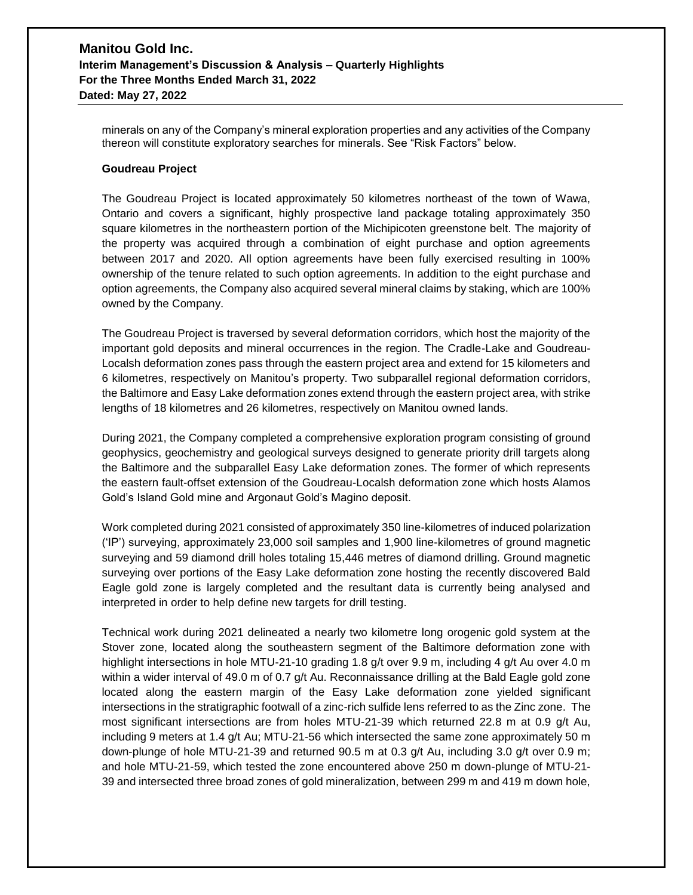minerals on any of the Company's mineral exploration properties and any activities of the Company thereon will constitute exploratory searches for minerals. See "Risk Factors" below.

#### **Goudreau Project**

The Goudreau Project is located approximately 50 kilometres northeast of the town of Wawa, Ontario and covers a significant, highly prospective land package totaling approximately 350 square kilometres in the northeastern portion of the Michipicoten greenstone belt. The majority of the property was acquired through a combination of eight purchase and option agreements between 2017 and 2020. All option agreements have been fully exercised resulting in 100% ownership of the tenure related to such option agreements. In addition to the eight purchase and option agreements, the Company also acquired several mineral claims by staking, which are 100% owned by the Company.

The Goudreau Project is traversed by several deformation corridors, which host the majority of the important gold deposits and mineral occurrences in the region. The Cradle-Lake and Goudreau-Localsh deformation zones pass through the eastern project area and extend for 15 kilometers and 6 kilometres, respectively on Manitou's property. Two subparallel regional deformation corridors, the Baltimore and Easy Lake deformation zones extend through the eastern project area, with strike lengths of 18 kilometres and 26 kilometres, respectively on Manitou owned lands.

During 2021, the Company completed a comprehensive exploration program consisting of ground geophysics, geochemistry and geological surveys designed to generate priority drill targets along the Baltimore and the subparallel Easy Lake deformation zones. The former of which represents the eastern fault-offset extension of the Goudreau-Localsh deformation zone which hosts Alamos Gold's Island Gold mine and Argonaut Gold's Magino deposit.

Work completed during 2021 consisted of approximately 350 line-kilometres of induced polarization ('IP') surveying, approximately 23,000 soil samples and 1,900 line-kilometres of ground magnetic surveying and 59 diamond drill holes totaling 15,446 metres of diamond drilling. Ground magnetic surveying over portions of the Easy Lake deformation zone hosting the recently discovered Bald Eagle gold zone is largely completed and the resultant data is currently being analysed and interpreted in order to help define new targets for drill testing.

Technical work during 2021 delineated a nearly two kilometre long orogenic gold system at the Stover zone, located along the southeastern segment of the Baltimore deformation zone with highlight intersections in hole MTU-21-10 grading 1.8 g/t over 9.9 m, including 4 g/t Au over 4.0 m within a wider interval of 49.0 m of 0.7 g/t Au. Reconnaissance drilling at the Bald Eagle gold zone located along the eastern margin of the Easy Lake deformation zone yielded significant intersections in the stratigraphic footwall of a zinc-rich sulfide lens referred to as the Zinc zone. The most significant intersections are from holes MTU-21-39 which returned 22.8 m at 0.9 g/t Au, including 9 meters at 1.4 g/t Au; MTU-21-56 which intersected the same zone approximately 50 m down-plunge of hole MTU-21-39 and returned 90.5 m at 0.3 g/t Au, including 3.0 g/t over 0.9 m; and hole MTU-21-59, which tested the zone encountered above 250 m down-plunge of MTU-21- 39 and intersected three broad zones of gold mineralization, between 299 m and 419 m down hole,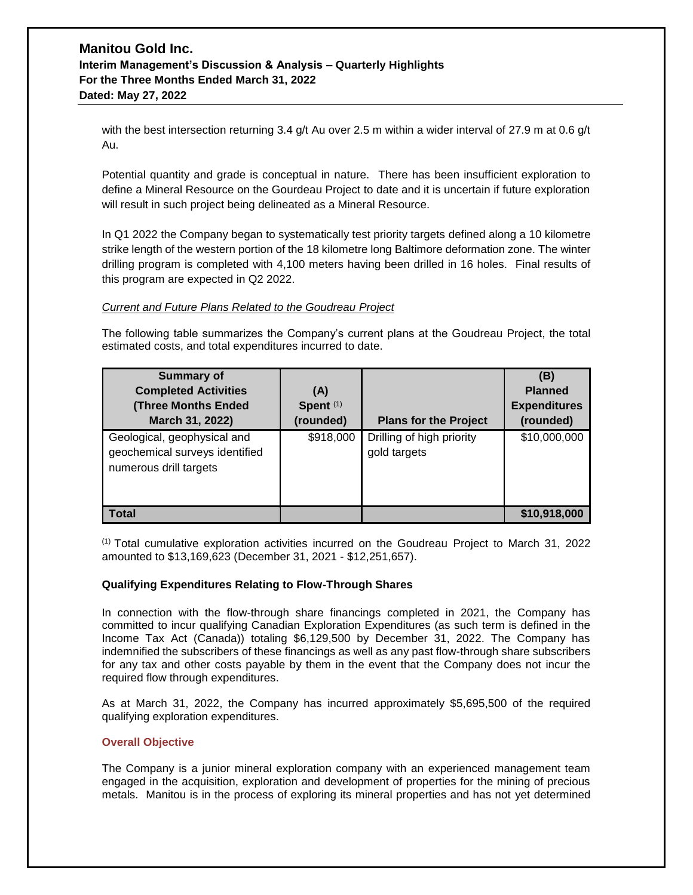with the best intersection returning 3.4 g/t Au over 2.5 m within a wider interval of 27.9 m at 0.6 g/t Au.

Potential quantity and grade is conceptual in nature. There has been insufficient exploration to define a Mineral Resource on the Gourdeau Project to date and it is uncertain if future exploration will result in such project being delineated as a Mineral Resource.

In Q1 2022 the Company began to systematically test priority targets defined along a 10 kilometre strike length of the western portion of the 18 kilometre long Baltimore deformation zone. The winter drilling program is completed with 4,100 meters having been drilled in 16 holes. Final results of this program are expected in Q2 2022.

### *Current and Future Plans Related to the Goudreau Project*

The following table summarizes the Company's current plans at the Goudreau Project, the total estimated costs, and total expenditures incurred to date.

| <b>Summary of</b><br><b>Completed Activities</b><br><b>(Three Months Ended)</b><br>March 31, 2022) | (A)<br>Spent <sup>(1)</sup><br>(rounded) | <b>Plans for the Project</b>              | (B)<br><b>Planned</b><br><b>Expenditures</b><br>(rounded) |
|----------------------------------------------------------------------------------------------------|------------------------------------------|-------------------------------------------|-----------------------------------------------------------|
| Geological, geophysical and<br>geochemical surveys identified<br>numerous drill targets            | \$918,000                                | Drilling of high priority<br>gold targets | \$10,000,000                                              |
| <b>Total</b>                                                                                       |                                          |                                           | \$10,918,000                                              |

 $<sup>(1)</sup>$  Total cumulative exploration activities incurred on the Goudreau Project to March 31, 2022</sup> amounted to \$13,169,623 (December 31, 2021 - \$12,251,657).

### **Qualifying Expenditures Relating to Flow-Through Shares**

In connection with the flow-through share financings completed in 2021, the Company has committed to incur qualifying Canadian Exploration Expenditures (as such term is defined in the Income Tax Act (Canada)) totaling \$6,129,500 by December 31, 2022. The Company has indemnified the subscribers of these financings as well as any past flow-through share subscribers for any tax and other costs payable by them in the event that the Company does not incur the required flow through expenditures.

As at March 31, 2022, the Company has incurred approximately \$5,695,500 of the required qualifying exploration expenditures.

### **Overall Objective**

The Company is a junior mineral exploration company with an experienced management team engaged in the acquisition, exploration and development of properties for the mining of precious metals. Manitou is in the process of exploring its mineral properties and has not yet determined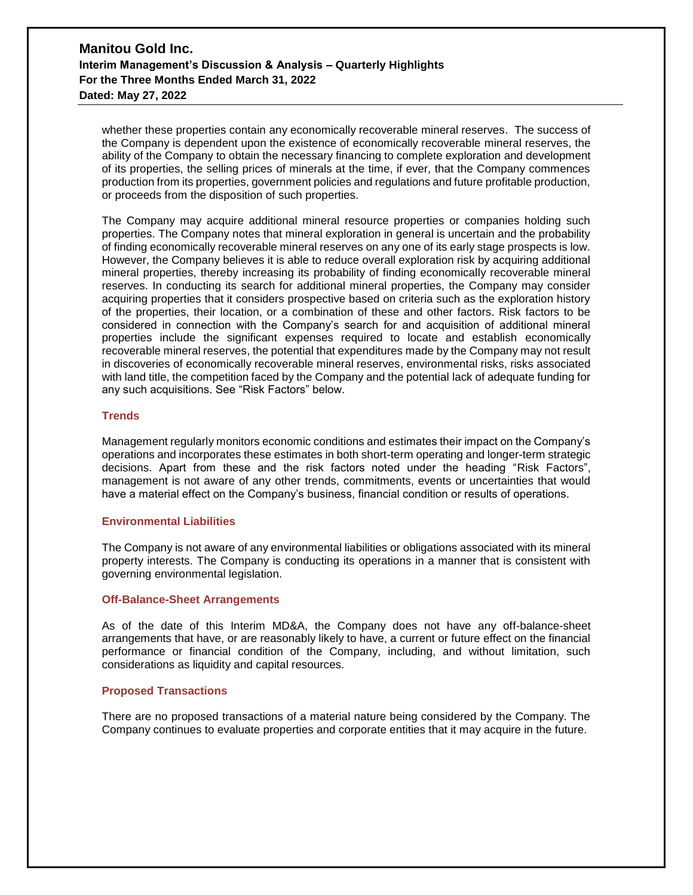whether these properties contain any economically recoverable mineral reserves. The success of the Company is dependent upon the existence of economically recoverable mineral reserves, the ability of the Company to obtain the necessary financing to complete exploration and development of its properties, the selling prices of minerals at the time, if ever, that the Company commences production from its properties, government policies and regulations and future profitable production, or proceeds from the disposition of such properties.

The Company may acquire additional mineral resource properties or companies holding such properties. The Company notes that mineral exploration in general is uncertain and the probability of finding economically recoverable mineral reserves on any one of its early stage prospects is low. However, the Company believes it is able to reduce overall exploration risk by acquiring additional mineral properties, thereby increasing its probability of finding economically recoverable mineral reserves. In conducting its search for additional mineral properties, the Company may consider acquiring properties that it considers prospective based on criteria such as the exploration history of the properties, their location, or a combination of these and other factors. Risk factors to be considered in connection with the Company's search for and acquisition of additional mineral properties include the significant expenses required to locate and establish economically recoverable mineral reserves, the potential that expenditures made by the Company may not result in discoveries of economically recoverable mineral reserves, environmental risks, risks associated with land title, the competition faced by the Company and the potential lack of adequate funding for any such acquisitions. See "Risk Factors" below.

#### **Trends**

Management regularly monitors economic conditions and estimates their impact on the Company's operations and incorporates these estimates in both short-term operating and longer-term strategic decisions. Apart from these and the risk factors noted under the heading "Risk Factors", management is not aware of any other trends, commitments, events or uncertainties that would have a material effect on the Company's business, financial condition or results of operations.

### **Environmental Liabilities**

The Company is not aware of any environmental liabilities or obligations associated with its mineral property interests. The Company is conducting its operations in a manner that is consistent with governing environmental legislation.

### **Off-Balance-Sheet Arrangements**

As of the date of this Interim MD&A, the Company does not have any off-balance-sheet arrangements that have, or are reasonably likely to have, a current or future effect on the financial performance or financial condition of the Company, including, and without limitation, such considerations as liquidity and capital resources.

### **Proposed Transactions**

There are no proposed transactions of a material nature being considered by the Company. The Company continues to evaluate properties and corporate entities that it may acquire in the future.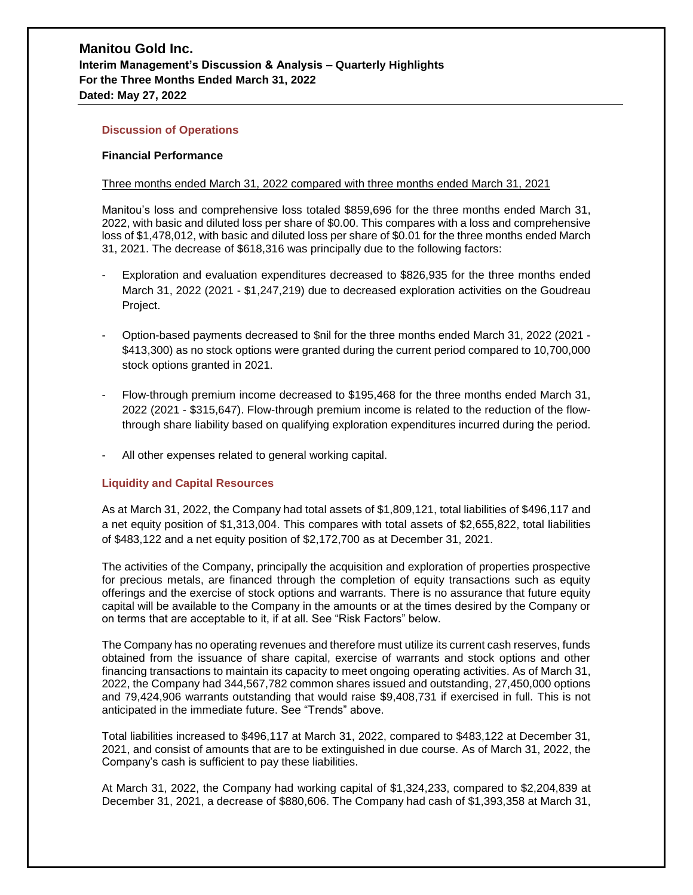### **Discussion of Operations**

### **Financial Performance**

#### Three months ended March 31, 2022 compared with three months ended March 31, 2021

Manitou's loss and comprehensive loss totaled \$859,696 for the three months ended March 31, 2022, with basic and diluted loss per share of \$0.00. This compares with a loss and comprehensive loss of \$1,478,012, with basic and diluted loss per share of \$0.01 for the three months ended March 31, 2021. The decrease of \$618,316 was principally due to the following factors:

- Exploration and evaluation expenditures decreased to \$826,935 for the three months ended March 31, 2022 (2021 - \$1,247,219) due to decreased exploration activities on the Goudreau Project.
- Option-based payments decreased to \$nil for the three months ended March 31, 2022 (2021 \$413,300) as no stock options were granted during the current period compared to 10,700,000 stock options granted in 2021.
- Flow-through premium income decreased to \$195,468 for the three months ended March 31, 2022 (2021 - \$315,647). Flow-through premium income is related to the reduction of the flowthrough share liability based on qualifying exploration expenditures incurred during the period.
- All other expenses related to general working capital.

### **Liquidity and Capital Resources**

As at March 31, 2022, the Company had total assets of \$1,809,121, total liabilities of \$496,117 and a net equity position of \$1,313,004. This compares with total assets of \$2,655,822, total liabilities of \$483,122 and a net equity position of \$2,172,700 as at December 31, 2021.

The activities of the Company, principally the acquisition and exploration of properties prospective for precious metals, are financed through the completion of equity transactions such as equity offerings and the exercise of stock options and warrants. There is no assurance that future equity capital will be available to the Company in the amounts or at the times desired by the Company or on terms that are acceptable to it, if at all. See "Risk Factors" below.

The Company has no operating revenues and therefore must utilize its current cash reserves, funds obtained from the issuance of share capital, exercise of warrants and stock options and other financing transactions to maintain its capacity to meet ongoing operating activities. As of March 31, 2022, the Company had 344,567,782 common shares issued and outstanding, 27,450,000 options and 79,424,906 warrants outstanding that would raise \$9,408,731 if exercised in full. This is not anticipated in the immediate future. See "Trends" above.

Total liabilities increased to \$496,117 at March 31, 2022, compared to \$483,122 at December 31, 2021, and consist of amounts that are to be extinguished in due course. As of March 31, 2022, the Company's cash is sufficient to pay these liabilities.

At March 31, 2022, the Company had working capital of \$1,324,233, compared to \$2,204,839 at December 31, 2021, a decrease of \$880,606. The Company had cash of \$1,393,358 at March 31,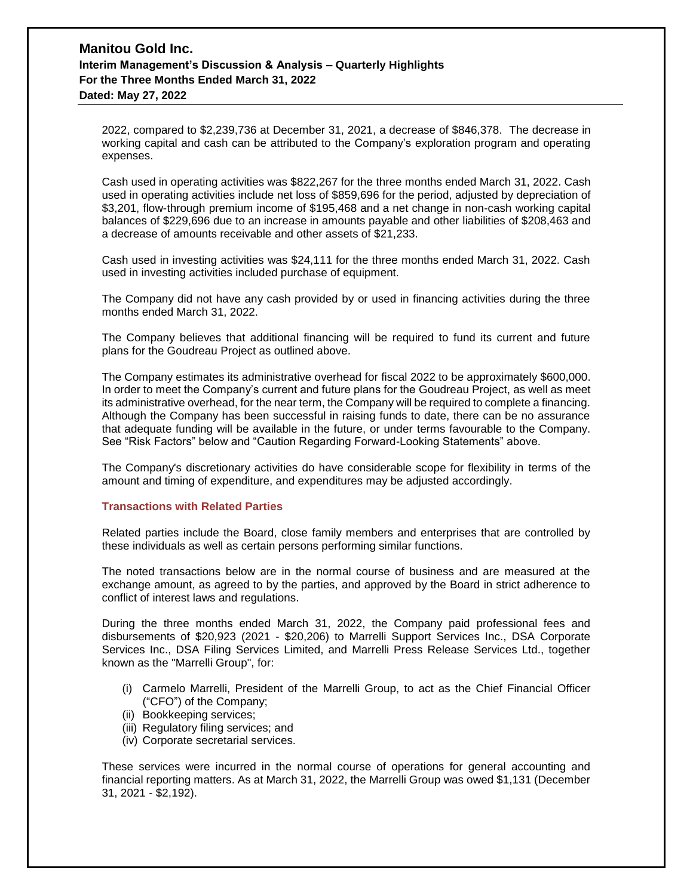2022, compared to \$2,239,736 at December 31, 2021, a decrease of \$846,378. The decrease in working capital and cash can be attributed to the Company's exploration program and operating expenses.

Cash used in operating activities was \$822,267 for the three months ended March 31, 2022. Cash used in operating activities include net loss of \$859,696 for the period, adjusted by depreciation of \$3,201, flow-through premium income of \$195,468 and a net change in non-cash working capital balances of \$229,696 due to an increase in amounts payable and other liabilities of \$208,463 and a decrease of amounts receivable and other assets of \$21,233.

Cash used in investing activities was \$24,111 for the three months ended March 31, 2022. Cash used in investing activities included purchase of equipment.

The Company did not have any cash provided by or used in financing activities during the three months ended March 31, 2022.

The Company believes that additional financing will be required to fund its current and future plans for the Goudreau Project as outlined above.

The Company estimates its administrative overhead for fiscal 2022 to be approximately \$600,000. In order to meet the Company's current and future plans for the Goudreau Project, as well as meet its administrative overhead, for the near term, the Company will be required to complete a financing. Although the Company has been successful in raising funds to date, there can be no assurance that adequate funding will be available in the future, or under terms favourable to the Company. See "Risk Factors" below and "Caution Regarding Forward-Looking Statements" above.

The Company's discretionary activities do have considerable scope for flexibility in terms of the amount and timing of expenditure, and expenditures may be adjusted accordingly.

### **Transactions with Related Parties**

Related parties include the Board, close family members and enterprises that are controlled by these individuals as well as certain persons performing similar functions.

The noted transactions below are in the normal course of business and are measured at the exchange amount, as agreed to by the parties, and approved by the Board in strict adherence to conflict of interest laws and regulations.

During the three months ended March 31, 2022, the Company paid professional fees and disbursements of \$20,923 (2021 - \$20,206) to Marrelli Support Services Inc., DSA Corporate Services Inc., DSA Filing Services Limited, and Marrelli Press Release Services Ltd., together known as the "Marrelli Group", for:

- (i) Carmelo Marrelli, President of the Marrelli Group, to act as the Chief Financial Officer ("CFO") of the Company;
- (ii) Bookkeeping services;
- (iii) Regulatory filing services; and
- (iv) Corporate secretarial services.

These services were incurred in the normal course of operations for general accounting and financial reporting matters. As at March 31, 2022, the Marrelli Group was owed \$1,131 (December 31, 2021 - \$2,192).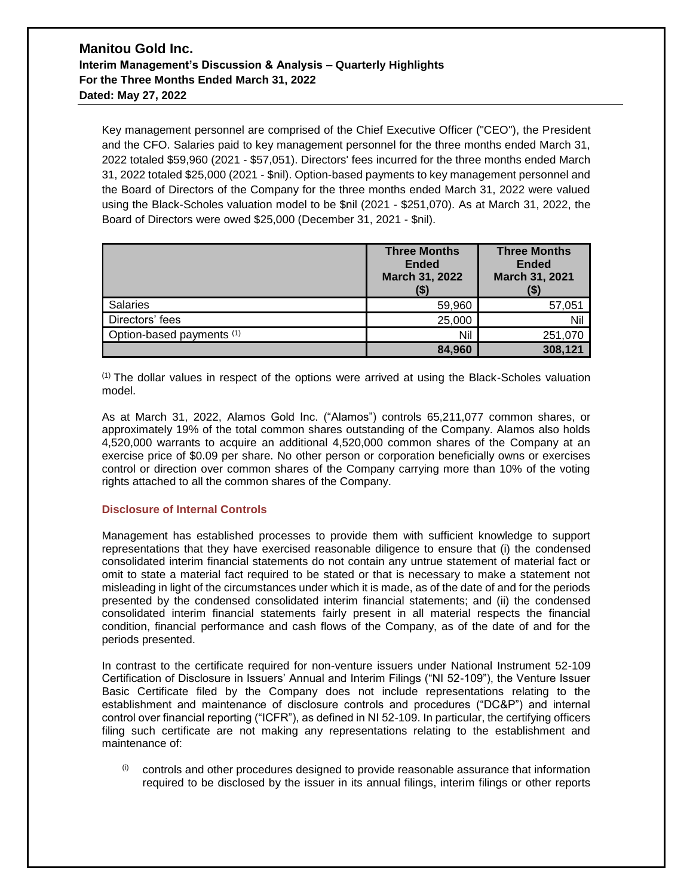Key management personnel are comprised of the Chief Executive Officer ("CEO"), the President and the CFO. Salaries paid to key management personnel for the three months ended March 31, 2022 totaled \$59,960 (2021 - \$57,051). Directors' fees incurred for the three months ended March 31, 2022 totaled \$25,000 (2021 - \$nil). Option-based payments to key management personnel and the Board of Directors of the Company for the three months ended March 31, 2022 were valued using the Black-Scholes valuation model to be \$nil (2021 - \$251,070). As at March 31, 2022, the Board of Directors were owed \$25,000 (December 31, 2021 - \$nil).

|                           | <b>Three Months</b><br><b>Ended</b><br>March 31, 2022 | <b>Three Months</b><br><b>Ended</b><br>March 31, 2021<br>(\$) |
|---------------------------|-------------------------------------------------------|---------------------------------------------------------------|
| <b>Salaries</b>           | 59,960                                                | 57,051                                                        |
| Directors' fees           | 25,000                                                | Nil                                                           |
| Option-based payments (1) | Nil                                                   | 251,070                                                       |
|                           | 84,960                                                | 308,121                                                       |

 $<sup>(1)</sup>$  The dollar values in respect of the options were arrived at using the Black-Scholes valuation</sup> model.

As at March 31, 2022, Alamos Gold Inc. ("Alamos") controls 65,211,077 common shares, or approximately 19% of the total common shares outstanding of the Company. Alamos also holds 4,520,000 warrants to acquire an additional 4,520,000 common shares of the Company at an exercise price of \$0.09 per share. No other person or corporation beneficially owns or exercises control or direction over common shares of the Company carrying more than 10% of the voting rights attached to all the common shares of the Company.

### **Disclosure of Internal Controls**

Management has established processes to provide them with sufficient knowledge to support representations that they have exercised reasonable diligence to ensure that (i) the condensed consolidated interim financial statements do not contain any untrue statement of material fact or omit to state a material fact required to be stated or that is necessary to make a statement not misleading in light of the circumstances under which it is made, as of the date of and for the periods presented by the condensed consolidated interim financial statements; and (ii) the condensed consolidated interim financial statements fairly present in all material respects the financial condition, financial performance and cash flows of the Company, as of the date of and for the periods presented.

In contrast to the certificate required for non-venture issuers under National Instrument 52-109 Certification of Disclosure in Issuers' Annual and Interim Filings ("NI 52-109"), the Venture Issuer Basic Certificate filed by the Company does not include representations relating to the establishment and maintenance of disclosure controls and procedures ("DC&P") and internal control over financial reporting ("ICFR"), as defined in NI 52-109. In particular, the certifying officers filing such certificate are not making any representations relating to the establishment and maintenance of:

 $(i)$  controls and other procedures designed to provide reasonable assurance that information required to be disclosed by the issuer in its annual filings, interim filings or other reports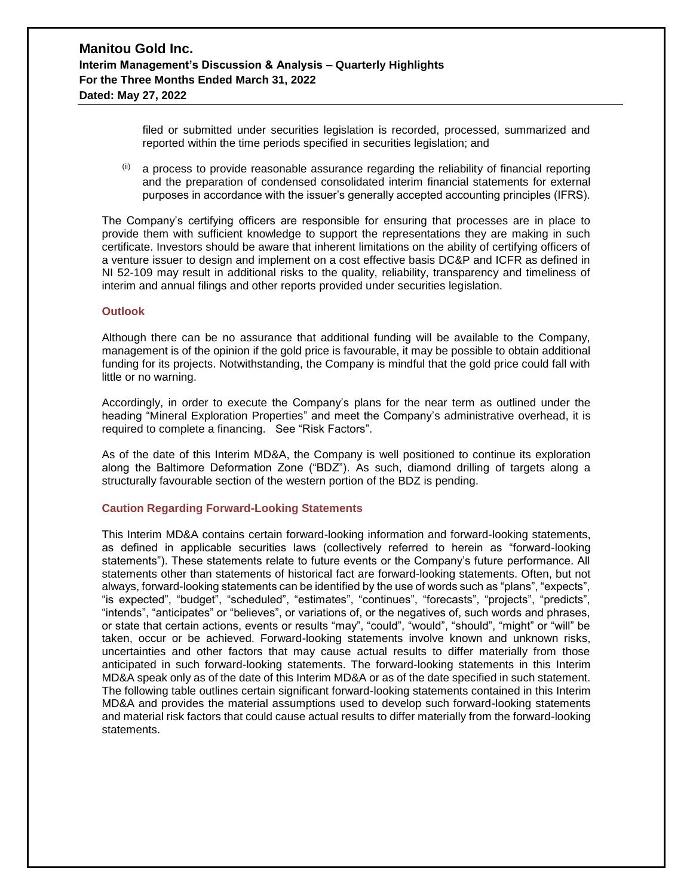filed or submitted under securities legislation is recorded, processed, summarized and reported within the time periods specified in securities legislation; and

 $(iii)$  a process to provide reasonable assurance regarding the reliability of financial reporting and the preparation of condensed consolidated interim financial statements for external purposes in accordance with the issuer's generally accepted accounting principles (IFRS).

The Company's certifying officers are responsible for ensuring that processes are in place to provide them with sufficient knowledge to support the representations they are making in such certificate. Investors should be aware that inherent limitations on the ability of certifying officers of a venture issuer to design and implement on a cost effective basis DC&P and ICFR as defined in NI 52-109 may result in additional risks to the quality, reliability, transparency and timeliness of interim and annual filings and other reports provided under securities legislation.

### **Outlook**

Although there can be no assurance that additional funding will be available to the Company, management is of the opinion if the gold price is favourable, it may be possible to obtain additional funding for its projects. Notwithstanding, the Company is mindful that the gold price could fall with little or no warning.

Accordingly, in order to execute the Company's plans for the near term as outlined under the heading "Mineral Exploration Properties" and meet the Company's administrative overhead, it is required to complete a financing. See "Risk Factors".

As of the date of this Interim MD&A, the Company is well positioned to continue its exploration along the Baltimore Deformation Zone ("BDZ"). As such, diamond drilling of targets along a structurally favourable section of the western portion of the BDZ is pending.

#### **Caution Regarding Forward-Looking Statements**

This Interim MD&A contains certain forward-looking information and forward-looking statements, as defined in applicable securities laws (collectively referred to herein as "forward-looking statements"). These statements relate to future events or the Company's future performance. All statements other than statements of historical fact are forward-looking statements. Often, but not always, forward-looking statements can be identified by the use of words such as "plans", "expects", "is expected", "budget", "scheduled", "estimates", "continues", "forecasts", "projects", "predicts", "intends", "anticipates" or "believes", or variations of, or the negatives of, such words and phrases, or state that certain actions, events or results "may", "could", "would", "should", "might" or "will" be taken, occur or be achieved. Forward-looking statements involve known and unknown risks, uncertainties and other factors that may cause actual results to differ materially from those anticipated in such forward-looking statements. The forward-looking statements in this Interim MD&A speak only as of the date of this Interim MD&A or as of the date specified in such statement. The following table outlines certain significant forward-looking statements contained in this Interim MD&A and provides the material assumptions used to develop such forward-looking statements and material risk factors that could cause actual results to differ materially from the forward-looking statements.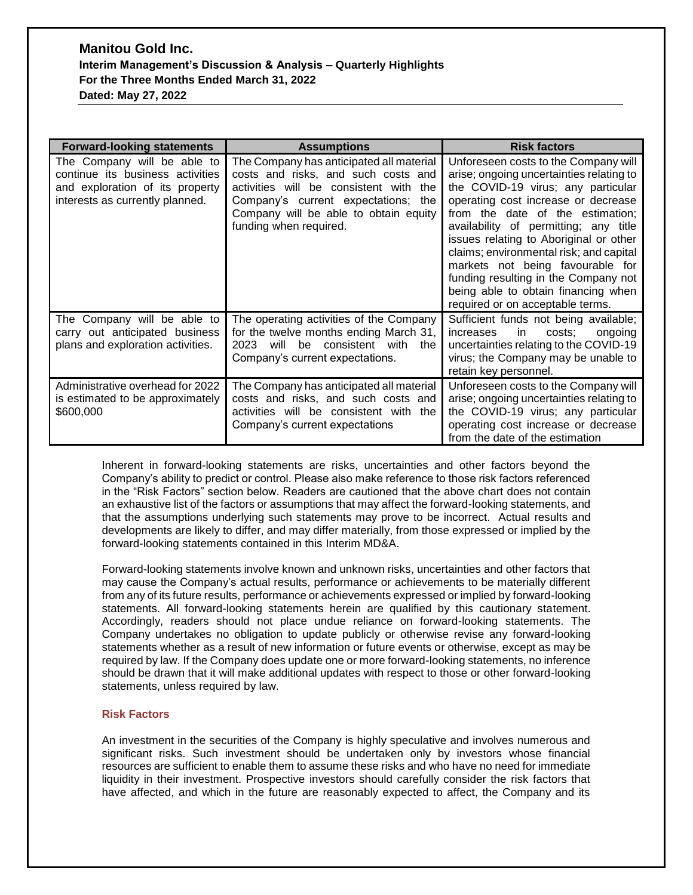| <b>Forward-looking statements</b>                                                                                                     | <b>Assumptions</b>                                                                                                                                                                                                                     | <b>Risk factors</b>                                                                                                                                                                                                                                                                                                                                                                                                                                                                    |
|---------------------------------------------------------------------------------------------------------------------------------------|----------------------------------------------------------------------------------------------------------------------------------------------------------------------------------------------------------------------------------------|----------------------------------------------------------------------------------------------------------------------------------------------------------------------------------------------------------------------------------------------------------------------------------------------------------------------------------------------------------------------------------------------------------------------------------------------------------------------------------------|
| The Company will be able to<br>continue its business activities<br>and exploration of its property<br>interests as currently planned. | The Company has anticipated all material<br>costs and risks, and such costs and<br>activities will be consistent with<br>the<br>Company's current expectations; the<br>Company will be able to obtain equity<br>funding when required. | Unforeseen costs to the Company will<br>arise; ongoing uncertainties relating to<br>the COVID-19 virus; any particular<br>operating cost increase or decrease<br>from the date of the estimation;<br>availability of permitting; any title<br>issues relating to Aboriginal or other<br>claims; environmental risk; and capital<br>markets not being favourable for<br>funding resulting in the Company not<br>being able to obtain financing when<br>required or on acceptable terms. |
| The Company will be able to<br>carry out anticipated business<br>plans and exploration activities.                                    | The operating activities of the Company<br>for the twelve months ending March 31,<br>consistent with<br>2023<br>will<br>be.<br>the<br>Company's current expectations.                                                                  | Sufficient funds not being available;<br>in<br>increases<br>costs:<br>ongoing<br>uncertainties relating to the COVID-19<br>virus; the Company may be unable to<br>retain key personnel.                                                                                                                                                                                                                                                                                                |
| Administrative overhead for 2022<br>is estimated to be approximately<br>\$600,000                                                     | The Company has anticipated all material<br>costs and risks, and such costs and<br>activities will be consistent with the<br>Company's current expectations                                                                            | Unforeseen costs to the Company will<br>arise; ongoing uncertainties relating to<br>the COVID-19 virus; any particular<br>operating cost increase or decrease<br>from the date of the estimation                                                                                                                                                                                                                                                                                       |

Inherent in forward-looking statements are risks, uncertainties and other factors beyond the Company's ability to predict or control. Please also make reference to those risk factors referenced in the "Risk Factors" section below. Readers are cautioned that the above chart does not contain an exhaustive list of the factors or assumptions that may affect the forward-looking statements, and that the assumptions underlying such statements may prove to be incorrect. Actual results and developments are likely to differ, and may differ materially, from those expressed or implied by the forward-looking statements contained in this Interim MD&A.

Forward-looking statements involve known and unknown risks, uncertainties and other factors that may cause the Company's actual results, performance or achievements to be materially different from any of its future results, performance or achievements expressed or implied by forward-looking statements. All forward-looking statements herein are qualified by this cautionary statement. Accordingly, readers should not place undue reliance on forward-looking statements. The Company undertakes no obligation to update publicly or otherwise revise any forward-looking statements whether as a result of new information or future events or otherwise, except as may be required by law. If the Company does update one or more forward-looking statements, no inference should be drawn that it will make additional updates with respect to those or other forward-looking statements, unless required by law.

### **Risk Factors**

An investment in the securities of the Company is highly speculative and involves numerous and significant risks. Such investment should be undertaken only by investors whose financial resources are sufficient to enable them to assume these risks and who have no need for immediate liquidity in their investment. Prospective investors should carefully consider the risk factors that have affected, and which in the future are reasonably expected to affect, the Company and its